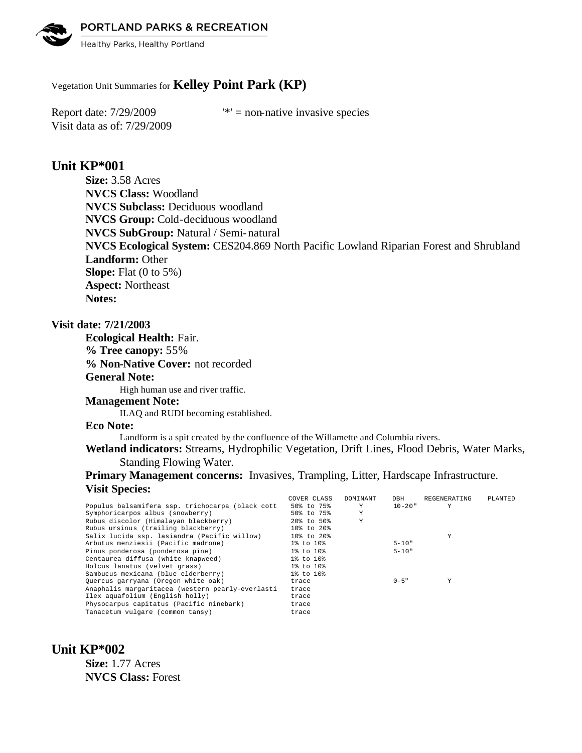PORTLAND PARKS & RECREATION



Healthy Parks, Healthy Portland

# Vegetation Unit Summaries for **Kelley Point Park (KP)**

Visit data as of: 7/29/2009

Report date:  $7/29/2009$  '\*' = non-native invasive species

# **Unit KP\*001**

**Size:** 3.58 Acres **NVCS Class:** Woodland **NVCS Subclass:** Deciduous woodland **NVCS Group:** Cold-deciduous woodland **NVCS SubGroup:** Natural / Semi-natural **NVCS Ecological System:** CES204.869 North Pacific Lowland Riparian Forest and Shrubland **Landform:** Other **Slope:** Flat (0 to 5%) **Aspect:** Northeast **Notes:** 

### **Visit date: 7/21/2003**

**Ecological Health:** Fair. **% Tree canopy:** 55% **% Non-Native Cover:** not recorded **General Note:** High human use and river traffic. **Management Note:**

ILAQ and RUDI becoming established.

#### **Eco Note:**

Landform is a spit created by the confluence of the Willamette and Columbia rivers.

**Wetland indicators:** Streams, Hydrophilic Vegetation, Drift Lines, Flood Debris, Water Marks, Standing Flowing Water.

## **Primary Management concerns:** Invasives, Trampling, Litter, Hardscape Infrastructure. **Visit Species:**

|                                                  | COVER CLASS | DOMINANT | DBH         | REGENERATING | PLANTED |
|--------------------------------------------------|-------------|----------|-------------|--------------|---------|
| Populus balsamifera ssp. trichocarpa (black cott | 50% to 75%  | Y        | $10 - 20$ " | Y            |         |
| Symphoricarpos albus (snowberry)                 | 50% to 75%  | Υ        |             |              |         |
| Rubus discolor (Himalayan blackberry)            | 20% to 50%  | Υ        |             |              |         |
| Rubus ursinus (trailing blackberry)              | 10% to 20%  |          |             |              |         |
| Salix lucida ssp. lasiandra (Pacific willow)     | 10% to 20%  |          |             | Υ            |         |
| Arbutus menziesii (Pacific madrone)              | 1% to 10%   |          | $5 - 10"$   |              |         |
| Pinus ponderosa (ponderosa pine)                 | 1% to 10%   |          | $5 - 10"$   |              |         |
| Centaurea diffusa (white knapweed)               | 1% to 10%   |          |             |              |         |
| Holcus lanatus (velvet grass)                    | 1% to 10%   |          |             |              |         |
| Sambucus mexicana (blue elderberry)              | 1% to 10%   |          |             |              |         |
| Quercus garryana (Oregon white oak)              | trace       |          | $0 - 5$ "   | Υ            |         |
| Anaphalis margaritacea (western pearly-everlasti | trace       |          |             |              |         |
| Ilex aquafolium (English holly)                  | trace       |          |             |              |         |
| Physocarpus capitatus (Pacific ninebark)         | trace       |          |             |              |         |
| Tanacetum vulgare (common tansy)                 | trace       |          |             |              |         |

# **Unit KP\*002**

**Size:** 1.77 Acres **NVCS Class:** Forest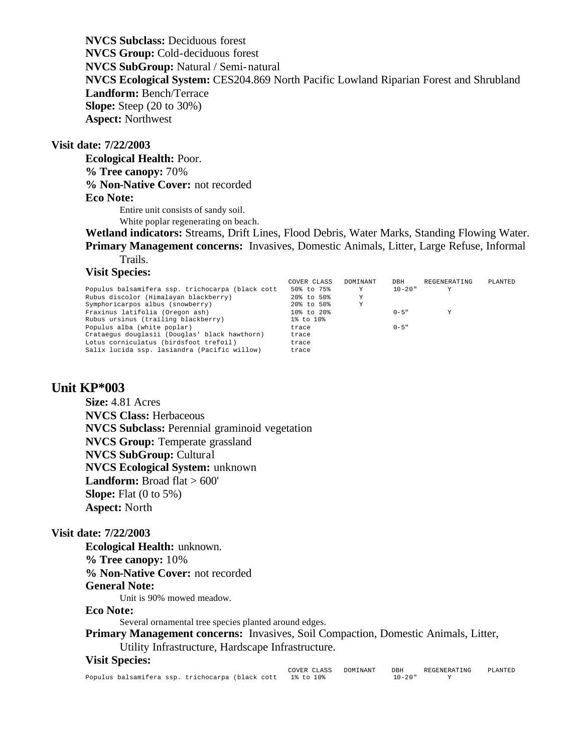**NVCS Subclass:** Deciduous forest **NVCS Group:** Cold-deciduous forest **NVCS SubGroup:** Natural / Semi-natural **NVCS Ecological System:** CES204.869 North Pacific Lowland Riparian Forest and Shrubland **Landform:** Bench/Terrace **Slope:** Steep (20 to 30%) **Aspect:** Northwest

#### **Visit date: 7/22/2003**

**Ecological Health:** Poor. **% Tree canopy:** 70% **% Non-Native Cover:** not recorded **Eco Note:** Entire unit consists of sandy soil.

White poplar regenerating on beach.

**Wetland indicators:** Streams, Drift Lines, Flood Debris, Water Marks, Standing Flowing Water. **Primary Management concerns:** Invasives, Domestic Animals, Litter, Large Refuse, Informal Trails.

**Visit Species:** 

|                                                  | COVER CLASS | DOMINANT | DBH         | REGENERATING | PLANTED |
|--------------------------------------------------|-------------|----------|-------------|--------------|---------|
| Populus balsamifera ssp. trichocarpa (black cott | 50% to 75%  | Y        | $10 - 20$ " | Y            |         |
| Rubus discolor (Himalayan blackberry)            | 20% to 50%  | Y        |             |              |         |
| Symphoricarpos albus (snowberry)                 | 20% to 50%  | Y        |             |              |         |
| Fraxinus latifolia (Oregon ash)                  | 10% to 20%  |          | $0 - 5$ "   | v            |         |
| Rubus ursinus (trailing blackberry)              | 1% to 10%   |          |             |              |         |
| Populus alba (white poplar)                      | trace       |          | $0 - 5$ "   |              |         |
| Crataequs douglasii (Douglas' black hawthorn)    | trace       |          |             |              |         |
| Lotus corniculatus (birdsfoot trefoil)           | trace       |          |             |              |         |
| Salix lucida ssp. lasiandra (Pacific willow)     | trace       |          |             |              |         |

## **Unit KP\*003**

**Size:** 4.81 Acres **NVCS Class:** Herbaceous **NVCS Subclass:** Perennial graminoid vegetation **NVCS Group:** Temperate grassland **NVCS SubGroup:** Cultural **NVCS Ecological System:** unknown Landform: Broad flat > 600' **Slope:** Flat (0 to 5%) **Aspect:** North

## **Visit date: 7/22/2003**

**Ecological Health:** unknown. **% Tree canopy:** 10% **% Non-Native Cover:** not recorded **General Note:** Unit is 90% mowed meadow.

**Eco Note:**

Several ornamental tree species planted around edges.

**Primary Management concerns:** Invasives, Soil Compaction, Domestic Animals, Litter,

Utility Infrastructure, Hardscape Infrastructure.

|                                                            |  | COVER CLASS DOMINANT | DBH         | REGENERATING | PLANTED |
|------------------------------------------------------------|--|----------------------|-------------|--------------|---------|
| Populus balsamifera ssp. trichocarpa (black cott 1% to 10% |  |                      | $10 - 20$ " |              |         |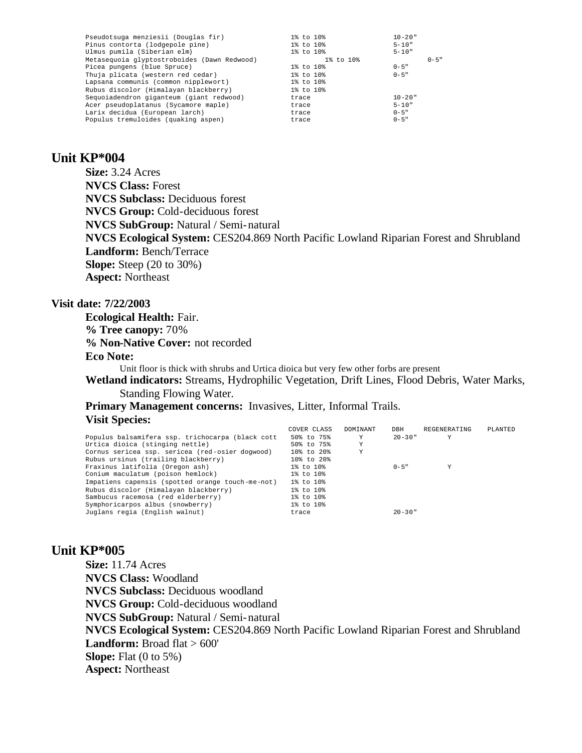| Pseudotsuga menziesii (Douglas fir)         | 1% to 10%       | $10 - 20$ " |
|---------------------------------------------|-----------------|-------------|
| Pinus contorta (lodgepole pine)             | $1\%$ to $10\%$ | $5 - 10"$   |
| Ulmus pumila (Siberian elm)                 | 1% to 10%       | $5 - 10"$   |
| Metasequoia glyptostroboides (Dawn Redwood) | 1% to 10%       | $0 - 5$ "   |
| Picea pungens (blue Spruce)                 | 1% to 10%       | $0 - 5$ "   |
| Thuja plicata (western red cedar)           | 1% to 10%       | $0 - 5$ "   |
| Lapsana communis (common nipplewort)        | 1% to 10%       |             |
| Rubus discolor (Himalayan blackberry)       | 1% to 10%       |             |
| Sequoiadendron qiqanteum (qiant redwood)    | trace           | $10 - 20$ " |
| Acer pseudoplatanus (Sycamore maple)        | trace           | $5 - 10"$   |
| Larix decidua (European larch)              | trace           | $0 - 5$ "   |
| Populus tremuloides (quaking aspen)         | trace           | $0 - 5$ "   |
|                                             |                 |             |

**Size:** 3.24 Acres **NVCS Class:** Forest **NVCS Subclass:** Deciduous forest **NVCS Group:** Cold-deciduous forest **NVCS SubGroup:** Natural / Semi-natural **NVCS Ecological System:** CES204.869 North Pacific Lowland Riparian Forest and Shrubland **Landform:** Bench/Terrace **Slope:** Steep (20 to 30%) **Aspect:** Northeast

### **Visit date: 7/22/2003**

**Ecological Health:** Fair. **% Tree canopy:** 70% **% Non-Native Cover:** not recorded **Eco Note:**

Unit floor is thick with shrubs and Urtica dioica but very few other forbs are present **Wetland indicators:** Streams, Hydrophilic Vegetation, Drift Lines, Flood Debris, Water Marks,

Standing Flowing Water.

**Primary Management concerns:** Invasives, Litter, Informal Trails. **Visit Species:** 

|                                                  | COVER CLASS      | DOMINANT | DBH         | REGENERATING | PLANTED |
|--------------------------------------------------|------------------|----------|-------------|--------------|---------|
| Populus balsamifera ssp. trichocarpa (black cott | 50% to 75%       | Y        | $20 - 30$ " | Y            |         |
| Urtica dioica (stinging nettle)                  | 50% to 75%       | Y        |             |              |         |
| Cornus sericea ssp. sericea (red-osier dogwood)  | $10\%$ to $20\%$ | Υ        |             |              |         |
| Rubus ursinus (trailing blackberry)              | 10% to 20%       |          |             |              |         |
| Fraxinus latifolia (Oregon ash)                  | 1% to 10%        |          | $0 - 5$ "   | Y            |         |
| Conium maculatum (poison hemlock)                | 1% to 10%        |          |             |              |         |
| Impatiens capensis (spotted orange touch-me-not) | 1% to 10%        |          |             |              |         |
| Rubus discolor (Himalayan blackberry)            | 1% to 10%        |          |             |              |         |
| Sambucus racemosa (red elderberry)               | 1% to 10%        |          |             |              |         |
| Symphoricarpos albus (snowberry)                 | 1% to 10%        |          |             |              |         |
| Juglans regia (English walnut)                   | trace            |          | $20 - 30$ " |              |         |

# **Unit KP\*005**

**Size:** 11.74 Acres **NVCS Class:** Woodland **NVCS Subclass:** Deciduous woodland **NVCS Group:** Cold-deciduous woodland **NVCS SubGroup:** Natural / Semi-natural **NVCS Ecological System:** CES204.869 North Pacific Lowland Riparian Forest and Shrubland Landform: Broad flat > 600' **Slope:** Flat (0 to 5%) **Aspect:** Northeast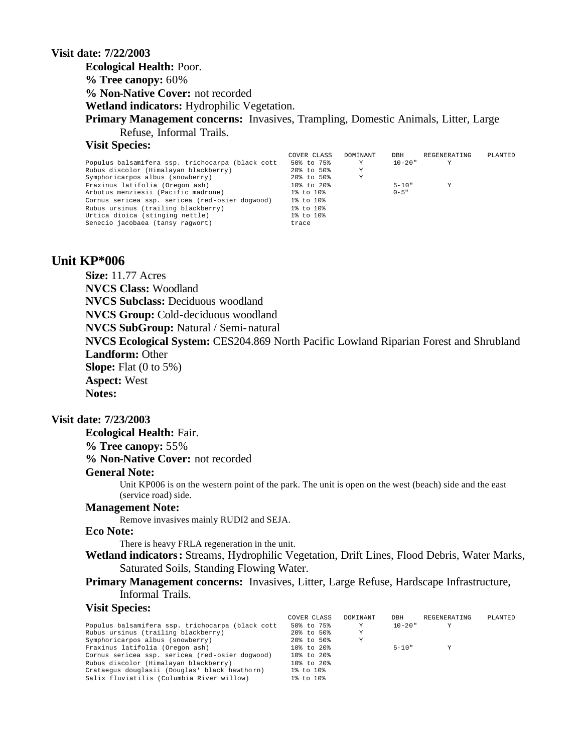#### **Visit date: 7/22/2003**

**Ecological Health:** Poor. **% Tree canopy:** 60% **% Non-Native Cover:** not recorded **Wetland indicators:** Hydrophilic Vegetation. **Primary Management concerns:** Invasives, Trampling, Domestic Animals, Litter, Large Refuse, Informal Trails.

#### **Visit Species:**

|                                                  | COVER CLASS | DOMINANT | DBH         | REGENERATING | PLANTED |
|--------------------------------------------------|-------------|----------|-------------|--------------|---------|
| Populus balsamifera ssp. trichocarpa (black cott | 50% to 75%  | Y        | $10 - 20$ " |              |         |
| Rubus discolor (Himalayan blackberry)            | 20% to 50%  | Y        |             |              |         |
| Symphoricarpos albus (snowberry)                 | 20% to 50%  | Y        |             |              |         |
| Fraxinus latifolia (Oregon ash)                  | 10% to 20%  |          | $5 - 10"$   | Y            |         |
| Arbutus menziesii (Pacific madrone)              | 1% to 10%   |          | $0 - 5$ "   |              |         |
| Cornus sericea ssp. sericea (red-osier dogwood)  | 1% to 10%   |          |             |              |         |
| Rubus ursinus (trailing blackberry)              | 1% to 10%   |          |             |              |         |
| Urtica dioica (stinging nettle)                  | 1% to 10%   |          |             |              |         |
| Senecio jacobaea (tansy raqwort)                 | trace       |          |             |              |         |

## **Unit KP\*006**

**Size:** 11.77 Acres **NVCS Class:** Woodland **NVCS Subclass:** Deciduous woodland **NVCS Group:** Cold-deciduous woodland **NVCS SubGroup:** Natural / Semi-natural **NVCS Ecological System:** CES204.869 North Pacific Lowland Riparian Forest and Shrubland **Landform:** Other **Slope:** Flat (0 to 5%) **Aspect:** West **Notes:** 

## **Visit date: 7/23/2003**

**Ecological Health:** Fair.

**% Tree canopy:** 55%

**% Non-Native Cover:** not recorded

#### **General Note:**

Unit KP006 is on the western point of the park. The unit is open on the west (beach) side and the east (service road) side.

#### **Management Note:**

Remove invasives mainly RUDI2 and SEJA.

### **Eco Note:**

There is heavy FRLA regeneration in the unit.

**Wetland indicators:** Streams, Hydrophilic Vegetation, Drift Lines, Flood Debris, Water Marks, Saturated Soils, Standing Flowing Water.

## **Primary Management concerns:** Invasives, Litter, Large Refuse, Hardscape Infrastructure, Informal Trails.

|                                                  | COVER CLASS | DOMINANT | DBH         | REGENERATING | PLANTED |
|--------------------------------------------------|-------------|----------|-------------|--------------|---------|
| Populus balsamifera ssp. trichocarpa (black cott | 50% to 75%  | Y        | $10 - 20$ " | Υ            |         |
| Rubus ursinus (trailing blackberry)              | 20% to 50%  | Y        |             |              |         |
| Symphoricarpos albus (snowberry)                 | 20% to 50%  | Y        |             |              |         |
| Fraxinus latifolia (Oregon ash)                  | 10% to 20%  |          | $5 - 10"$   | v            |         |
| Cornus sericea ssp. sericea (red-osier dogwood)  | 10% to 20%  |          |             |              |         |
| Rubus discolor (Himalayan blackberry)            | 10% to 20%  |          |             |              |         |
| Crataequs douglasii (Douglas' black hawthorn)    | 1% to 10%   |          |             |              |         |
| Salix fluviatilis (Columbia River willow)        | 1% to 10%   |          |             |              |         |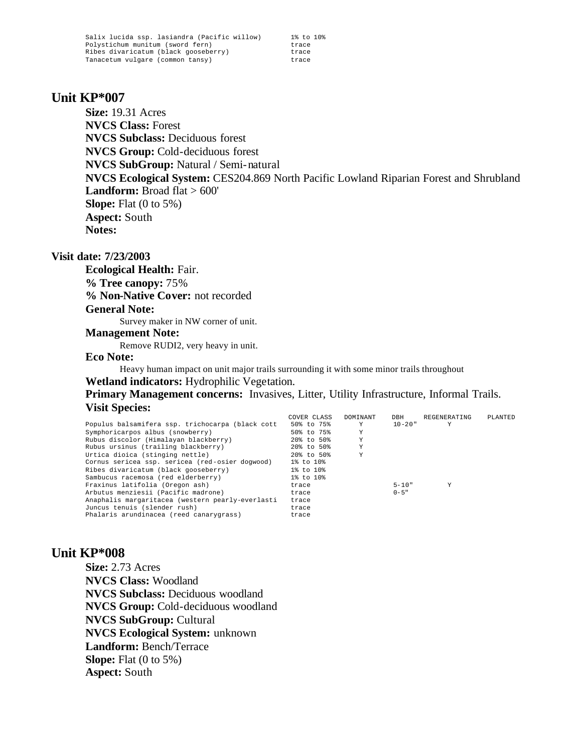Salix lucida ssp. lasiandra (Pacific willow) 1% to 10%<br>Polystichum munitum (sword fern) trace Polystichum munitum (sword fern) trace Ribes divaricatum (black gooseberry) trace Tanacetum vulgare (common tansy) trace

## **Unit KP\*007**

**Size:** 19.31 Acres **NVCS Class:** Forest **NVCS Subclass:** Deciduous forest **NVCS Group:** Cold-deciduous forest **NVCS SubGroup:** Natural / Semi-natural **NVCS Ecological System:** CES204.869 North Pacific Lowland Riparian Forest and Shrubland Landform: Broad flat > 600' **Slope:** Flat (0 to 5%) **Aspect:** South **Notes:** 

### **Visit date: 7/23/2003**

**Ecological Health:** Fair. **% Tree canopy:** 75% **% Non-Native Cover:** not recorded **General Note:**

Survey maker in NW corner of unit.

#### **Management Note:**

Remove RUDI2, very heavy in unit.

#### **Eco Note:**

Heavy human impact on unit major trails surrounding it with some minor trails throughout **Wetland indicators:** Hydrophilic Vegetation.

**Primary Management concerns:** Invasives, Litter, Utility Infrastructure, Informal Trails. **Visit Species:** 

|                                                  | COVER CLASS | <b>DOMTNANT</b> | DBH         | REGENERATING | PLANTED |
|--------------------------------------------------|-------------|-----------------|-------------|--------------|---------|
| Populus balsamifera ssp. trichocarpa (black cott | 50% to 75%  | Y               | $10 - 20$ " | Y            |         |
| Symphoricarpos albus (snowberry)                 | 50% to 75%  | Υ               |             |              |         |
| Rubus discolor (Himalayan blackberry)            | 20% to 50%  | Y               |             |              |         |
| Rubus ursinus (trailing blackberry)              | 20% to 50%  | Υ               |             |              |         |
| Urtica dioica (stinging nettle)                  | 20% to 50%  | Y               |             |              |         |
| Cornus sericea ssp. sericea (red-osier dogwood)  | 1% to 10%   |                 |             |              |         |
| Ribes divaricatum (black gooseberry)             | 1% to 10%   |                 |             |              |         |
| Sambucus racemosa (red elderberry)               | 1% to 10%   |                 |             |              |         |
| Fraxinus latifolia (Oregon ash)                  | trace       |                 | $5 - 10"$   | Y            |         |
| Arbutus menziesii (Pacific madrone)              | trace       |                 | $0 - 5$ "   |              |         |
| Anaphalis margaritacea (western pearly-everlasti | trace       |                 |             |              |         |
| Juncus tenuis (slender rush)                     | trace       |                 |             |              |         |
| Phalaris arundinacea (reed canarygrass)          | trace       |                 |             |              |         |

# **Unit KP\*008**

**Size:** 2.73 Acres **NVCS Class:** Woodland **NVCS Subclass:** Deciduous woodland **NVCS Group:** Cold-deciduous woodland **NVCS SubGroup:** Cultural **NVCS Ecological System:** unknown **Landform:** Bench/Terrace **Slope:** Flat (0 to 5%) **Aspect:** South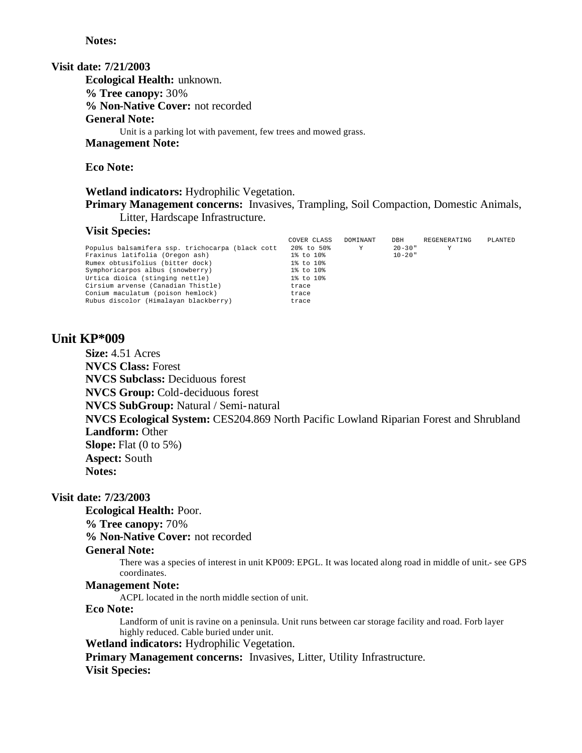**Notes:** 

### **Visit date: 7/21/2003**

**Ecological Health:** unknown.

# **% Tree canopy:** 30%

**% Non-Native Cover:** not recorded

## **General Note:**

Unit is a parking lot with pavement, few trees and mowed grass.

### **Management Note:**

**Eco Note:**

## **Wetland indicators:** Hydrophilic Vegetation.

**Primary Management concerns:** Invasives, Trampling, Soil Compaction, Domestic Animals, Litter, Hardscape Infrastructure.

## **Visit Species:**

|                                                  | COVER CLASS | DOMINANT     | DBH         | REGENERATING | PLANTED |
|--------------------------------------------------|-------------|--------------|-------------|--------------|---------|
| Populus balsamifera ssp. trichocarpa (black cott | 20% to 50%  | $\mathbf{Y}$ | $20 - 30$ " |              |         |
| Fraxinus latifolia (Oregon ash)                  | 1% to 10%   |              | $10 - 20$ " |              |         |
| Rumex obtusifolius (bitter dock)                 | 1% to 10%   |              |             |              |         |
| Symphoricarpos albus (snowberry)                 | 1% to 10%   |              |             |              |         |
| Urtica dioica (stinging nettle)                  | 1% to 10%   |              |             |              |         |
| Cirsium arvense (Canadian Thistle)               | trace       |              |             |              |         |
| Conium maculatum (poison hemlock)                | trace       |              |             |              |         |
| Rubus discolor (Himalayan blackberry)            | trace       |              |             |              |         |

# **Unit KP\*009**

**Size:** 4.51 Acres **NVCS Class:** Forest **NVCS Subclass:** Deciduous forest **NVCS Group:** Cold-deciduous forest **NVCS SubGroup:** Natural / Semi-natural **NVCS Ecological System:** CES204.869 North Pacific Lowland Riparian Forest and Shrubland **Landform:** Other **Slope:** Flat (0 to 5%) **Aspect:** South **Notes:** 

### **Visit date: 7/23/2003**

**Ecological Health:** Poor.

### **% Tree canopy:** 70%

**% Non-Native Cover:** not recorded

### **General Note:**

There was a species of interest in unit KP009: EPGL. It was located along road in middle of unit.- see GPS coordinates.

### **Management Note:**

ACPL located in the north middle section of unit.

### **Eco Note:**

Landform of unit is ravine on a peninsula. Unit runs between car storage facility and road. Forb layer highly reduced. Cable buried under unit.

### **Wetland indicators:** Hydrophilic Vegetation.

**Primary Management concerns:** Invasives, Litter, Utility Infrastructure.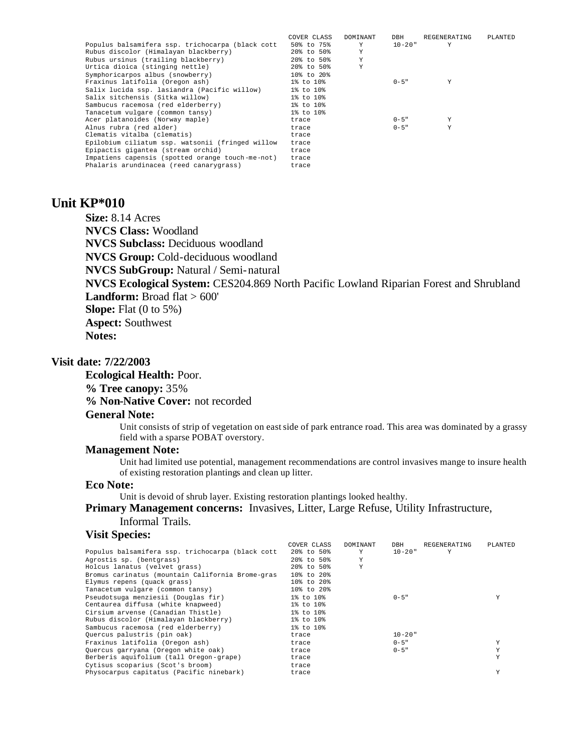|                                                  | COVER CLASS | DOMINANT | DBH         | REGENERATING | PLANTED |
|--------------------------------------------------|-------------|----------|-------------|--------------|---------|
| Populus balsamifera ssp. trichocarpa (black cott | 50% to 75%  | Y        | $10 - 20$ " | Y            |         |
| Rubus discolor (Himalayan blackberry)            | 20% to 50%  | Y        |             |              |         |
| Rubus ursinus (trailing blackberry)              | 20% to 50%  | Y        |             |              |         |
| Urtica dioica (stinging nettle)                  | 20% to 50%  | Y        |             |              |         |
| Symphoricarpos albus (snowberry)                 | 10% to 20%  |          |             |              |         |
| Fraxinus latifolia (Oregon ash)                  | 1% to 10%   |          | $0 - 5$ "   | Y            |         |
| Salix lucida ssp. lasiandra (Pacific willow)     | 1% to 10%   |          |             |              |         |
| Salix sitchensis (Sitka willow)                  | 1% to 10%   |          |             |              |         |
| Sambucus racemosa (red elderberry)               | 1% to 10%   |          |             |              |         |
| Tanacetum vulgare (common tansy)                 | 1% to 10%   |          |             |              |         |
| Acer platanoides (Norway maple)                  | trace       |          | $0 - 5$ "   | Y            |         |
| Alnus rubra (red alder)                          | trace       |          | $0 - 5$ "   | Y            |         |
| Clematis vitalba (clematis)                      | trace       |          |             |              |         |
| Epilobium ciliatum ssp. watsonii (fringed willow | trace       |          |             |              |         |
| Epipactis gigantea (stream orchid)               | trace       |          |             |              |         |
| Impatiens capensis (spotted orange touch-me-not) | trace       |          |             |              |         |
| Phalaris arundinacea (reed canarygrass)          | trace       |          |             |              |         |

**Size:** 8.14 Acres **NVCS Class:** Woodland **NVCS Subclass:** Deciduous woodland **NVCS Group:** Cold-deciduous woodland **NVCS SubGroup:** Natural / Semi-natural **NVCS Ecological System:** CES204.869 North Pacific Lowland Riparian Forest and Shrubland Landform: Broad flat > 600' **Slope:** Flat (0 to 5%) **Aspect:** Southwest **Notes:** 

### **Visit date: 7/22/2003**

**Ecological Health:** Poor.

### **% Tree canopy:** 35%

**% Non-Native Cover:** not recorded

#### **General Note:**

Unit consists of strip of vegetation on east side of park entrance road. This area was dominated by a grassy field with a sparse POBAT overstory.

#### **Management Note:**

Unit had limited use potential, management recommendations are control invasives mange to insure health of existing restoration plantings and clean up litter.

#### **Eco Note:**

Unit is devoid of shrub layer. Existing restoration plantings looked healthy.

**Primary Management concerns:** Invasives, Litter, Large Refuse, Utility Infrastructure,

#### Informal Trails.

|                                                  | COVER CLASS      | DOMINANT | DBH         | REGENERATING | PLANTED |
|--------------------------------------------------|------------------|----------|-------------|--------------|---------|
| Populus balsamifera ssp. trichocarpa (black cott | 20% to 50%       | Υ        | $10 - 20$ " | Υ            |         |
| Agrostis sp. (bentgrass)                         | 20% to 50%       | Υ        |             |              |         |
| Holcus lanatus (velvet grass)                    | 20% to 50%       | Υ        |             |              |         |
| Bromus carinatus (mountain California Brome-gras | 10% to 20%       |          |             |              |         |
| Elymus repens (quack grass)                      | $10\%$ to $20\%$ |          |             |              |         |
| Tanacetum vulgare (common tansy)                 | 10% to 20%       |          |             |              |         |
| Pseudotsuga menziesii (Douglas fir)              | 1% to 10%        |          | $0 - 5$ "   |              | v       |
| Centaurea diffusa (white knapweed)               | 1% to 10%        |          |             |              |         |
| Cirsium arvense (Canadian Thistle)               | 1% to 10%        |          |             |              |         |
| Rubus discolor (Himalayan blackberry)            | 1% to 10%        |          |             |              |         |
| Sambucus racemosa (red elderberry)               | 1% to 10%        |          |             |              |         |
| Quercus palustris (pin oak)                      | trace            |          | $10 - 20$ " |              |         |
| Fraxinus latifolia (Oregon ash)                  | trace            |          | $0 - 5$ "   |              | Y       |
| Quercus garryana (Oregon white oak)              | trace            |          | $0 - 5$ "   |              | Y       |
| Berberis aquifolium (tall Oregon-grape)          | trace            |          |             |              | Y       |
| Cytisus scoparius (Scot's broom)                 | trace            |          |             |              |         |
| Physocarpus capitatus (Pacific ninebark)         | trace            |          |             |              |         |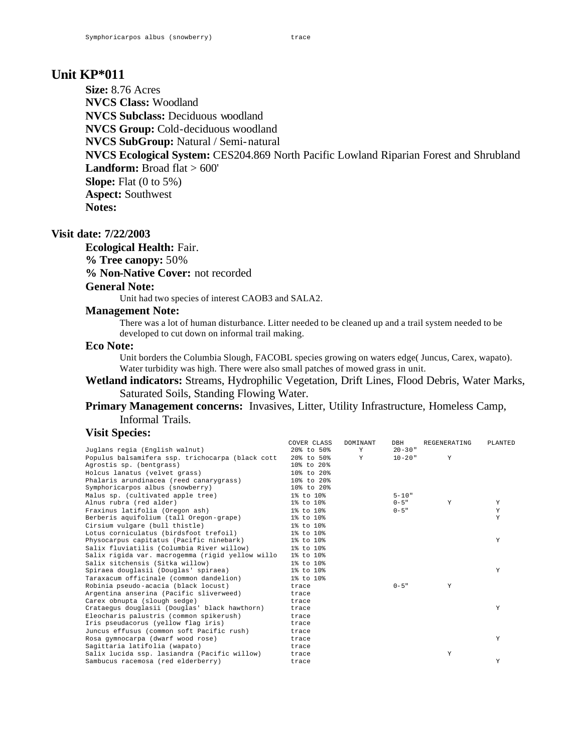**Size:** 8.76 Acres **NVCS Class:** Woodland **NVCS Subclass:** Deciduous woodland **NVCS Group: Cold-deciduous woodland NVCS SubGroup:** Natural / Semi-natural **NVCS Ecological System:** CES204.869 North Pacific Lowland Riparian Forest and Shrubland Landform: Broad flat > 600' **Slope:** Flat (0 to 5%) **Aspect:** Southwest **Notes:** 

### **Visit date: 7/22/2003**

**Ecological Health:** Fair.

**% Tree canopy:** 50%

**% Non-Native Cover:** not recorded

#### **General Note:**

Unit had two species of interest CAOB3 and SALA2.

#### **Management Note:**

There was a lot of human disturbance. Litter needed to be cleaned up and a trail system needed to be developed to cut down on informal trail making.

#### **Eco Note:**

Unit borders the Columbia Slough, FACOBL species growing on waters edge( Juncus, Carex, wapato). Water turbidity was high. There were also small patches of mowed grass in unit.

**Wetland indicators:** Streams, Hydrophilic Vegetation, Drift Lines, Flood Debris, Water Marks, Saturated Soils, Standing Flowing Water.

**Primary Management concerns:** Invasives, Litter, Utility Infrastructure, Homeless Camp,

#### Informal Trails.

|                                                  | COVER CLASS     | <b>DOMTNANT</b> | DBH         | <b>REGENERATING</b> | PLANTED |
|--------------------------------------------------|-----------------|-----------------|-------------|---------------------|---------|
| Juglans regia (English walnut)                   | 20% to 50%      | Y               | $20 - 30$ " |                     |         |
| Populus balsamifera ssp. trichocarpa (black cott | 20% to 50%      | Y               | $10 - 20$ " | Y                   |         |
| Agrostis sp. (bentgrass)                         | 10% to 20%      |                 |             |                     |         |
| Holcus lanatus (velvet grass)                    | 10% to 20%      |                 |             |                     |         |
| Phalaris arundinacea (reed canarygrass)          | 10% to 20%      |                 |             |                     |         |
| Symphoricarpos albus (snowberry)                 | 10% to 20%      |                 |             |                     |         |
| Malus sp. (cultivated apple tree)                | 1% to 10%       |                 | $5 - 10"$   |                     |         |
| Alnus rubra (red alder)                          | 1% to 10%       |                 | $0 - 5$ "   | Y                   | Y       |
| Fraxinus latifolia (Oregon ash)                  | 1% to 10%       |                 | $0 - 5$ "   |                     | Y       |
| Berberis aquifolium (tall Oregon-grape)          | 1% to 10%       |                 |             |                     | Y       |
| Cirsium vulgare (bull thistle)                   | 1% to 10%       |                 |             |                     |         |
| Lotus corniculatus (birdsfoot trefoil)           | $1\%$ to $10\%$ |                 |             |                     |         |
| Physocarpus capitatus (Pacific ninebark)         | 1% to 10%       |                 |             |                     | Y       |
| Salix fluviatilis (Columbia River willow)        | $1\%$ to $10\%$ |                 |             |                     |         |
| Salix rigida var. macrogemma (rigid yellow willo | 1% to 10%       |                 |             |                     |         |
| Salix sitchensis (Sitka willow)                  | 1% to 10%       |                 |             |                     |         |
| Spiraea douglasii (Douglas' spiraea)             | 1% to 10%       |                 |             |                     | Y       |
| Taraxacum officinale (common dandelion)          | 1% to 10%       |                 |             |                     |         |
| Robinia pseudo-acacia (black locust)             | trace           |                 | $0 - 5$ "   | Y                   |         |
| Argentina anserina (Pacific sliverweed)          | trace           |                 |             |                     |         |
| Carex obnupta (slough sedge)                     | trace           |                 |             |                     |         |
| Crataegus douglasii (Douglas' black hawthorn)    | trace           |                 |             |                     | Y       |
| Eleocharis palustris (common spikerush)          | trace           |                 |             |                     |         |
| Iris pseudacorus (yellow flag iris)              | trace           |                 |             |                     |         |
| Juncus effusus (common soft Pacific rush)        | trace           |                 |             |                     |         |
| Rosa qymnocarpa (dwarf wood rose)                | trace           |                 |             |                     | Y       |
| Sagittaria latifolia (wapato)                    | trace           |                 |             |                     |         |
| Salix lucida ssp. lasiandra (Pacific willow)     | trace           |                 |             | Υ                   |         |
| Sambucus racemosa (red elderberry)               | trace           |                 |             |                     | Y       |
|                                                  |                 |                 |             |                     |         |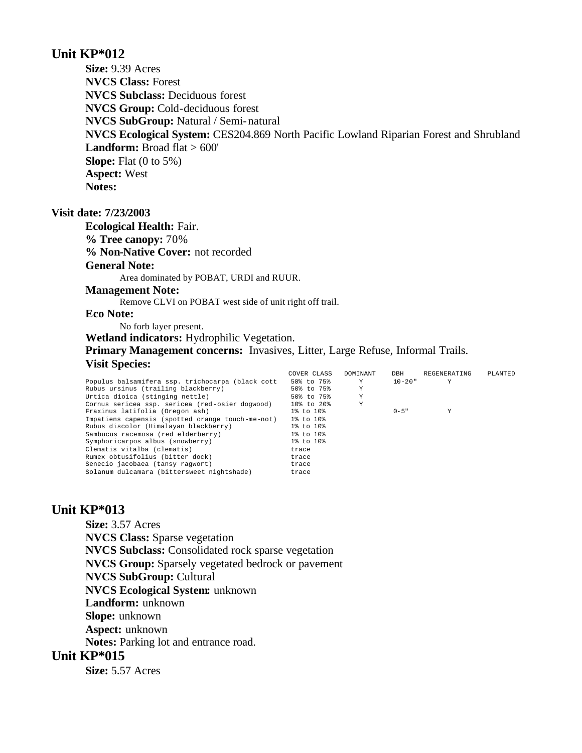**Size:** 9.39 Acres **NVCS Class:** Forest **NVCS Subclass:** Deciduous forest **NVCS Group:** Cold-deciduous forest **NVCS SubGroup:** Natural / Semi-natural **NVCS Ecological System:** CES204.869 North Pacific Lowland Riparian Forest and Shrubland Landform: Broad flat > 600' **Slope:** Flat (0 to 5%) **Aspect:** West **Notes:** 

#### **Visit date: 7/23/2003**

**Ecological Health:** Fair. **% Tree canopy:** 70% **% Non-Native Cover:** not recorded **General Note:** Area dominated by POBAT, URDI and RUUR. **Management Note:** Remove CLVI on POBAT west side of unit right off trail. **Eco Note:** No forb layer present. **Wetland indicators:** Hydrophilic Vegetation.

**Primary Management concerns:** Invasives, Litter, Large Refuse, Informal Trails. **Visit Species:** 

|                                                  | COVER CLASS | DOMINANT | DBH         | REGENERATING | PLANTED |
|--------------------------------------------------|-------------|----------|-------------|--------------|---------|
| Populus balsamifera ssp. trichocarpa (black cott | 50% to 75%  | Υ        | $10 - 20$ " |              |         |
| Rubus ursinus (trailing blackberry)              | 50% to 75%  | Υ        |             |              |         |
| Urtica dioica (stinging nettle)                  | 50% to 75%  | Υ        |             |              |         |
| Cornus sericea ssp. sericea (red-osier dogwood)  | 10% to 20%  | Y        |             |              |         |
| Fraxinus latifolia (Oregon ash)                  | 1% to 10%   |          | $0 - 5$ "   | Y            |         |
| Impatiens capensis (spotted orange touch-me-not) | 1% to 10%   |          |             |              |         |
| Rubus discolor (Himalayan blackberry)            | 1% to 10%   |          |             |              |         |
| Sambucus racemosa (red elderberry)               | 1% to 10%   |          |             |              |         |
| Symphoricarpos albus (snowberry)                 | 1% to 10%   |          |             |              |         |
| Clematis vitalba (clematis)                      | trace       |          |             |              |         |
| Rumex obtusifolius (bitter dock)                 | trace       |          |             |              |         |
| Senecio jacobaea (tansy ragwort)                 | trace       |          |             |              |         |
| Solanum dulcamara (bittersweet nightshade)       | trace       |          |             |              |         |

# **Unit KP\*013**

**Size:** 3.57 Acres **NVCS Class:** Sparse vegetation **NVCS Subclass:** Consolidated rock sparse vegetation **NVCS Group:** Sparsely vegetated bedrock or pavement **NVCS SubGroup:** Cultural **NVCS Ecological System:** unknown **Landform:** unknown **Slope:** unknown **Aspect:** unknown **Notes:** Parking lot and entrance road.

# **Unit KP\*015**

**Size:** 5.57 Acres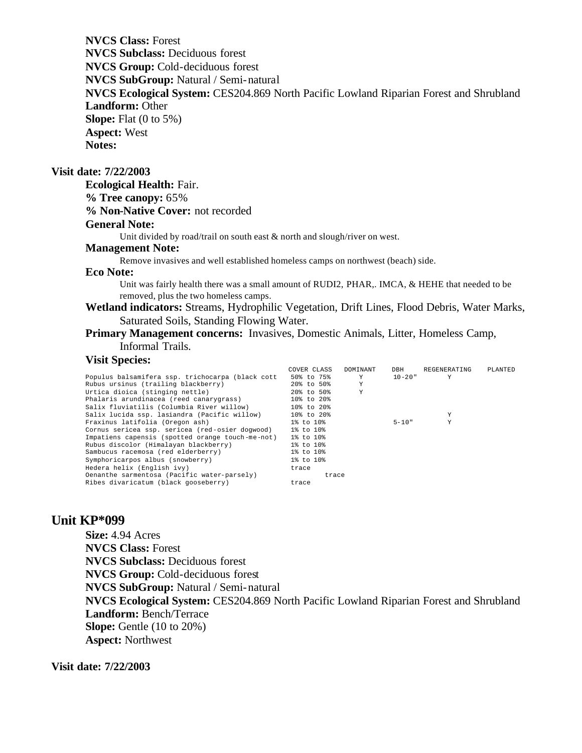**NVCS Class:** Forest **NVCS Subclass:** Deciduous forest **NVCS Group:** Cold-deciduous forest **NVCS SubGroup:** Natural / Semi-natural **NVCS Ecological System:** CES204.869 North Pacific Lowland Riparian Forest and Shrubland **Landform:** Other **Slope:** Flat (0 to 5%) **Aspect:** West **Notes:** 

#### **Visit date: 7/22/2003**

**Ecological Health:** Fair.

**% Tree canopy:** 65%

**% Non-Native Cover:** not recorded

#### **General Note:**

Unit divided by road/trail on south east & north and slough/river on west.

#### **Management Note:**

Remove invasives and well established homeless camps on northwest (beach) side.

#### **Eco Note:**

Unit was fairly health there was a small amount of RUDI2, PHAR,. IMCA, & HEHE that needed to be removed, plus the two homeless camps.

### **Wetland indicators:** Streams, Hydrophilic Vegetation, Drift Lines, Flood Debris, Water Marks, Saturated Soils, Standing Flowing Water.

**Primary Management concerns:** Invasives, Domestic Animals, Litter, Homeless Camp, Informal Trails.

#### **Visit Species:**

| COVER CLASS | DOMINANT | DBH         | REGENERATING | PLANTED |
|-------------|----------|-------------|--------------|---------|
| 50% to 75%  | Y        | $10 - 20$ " | Y            |         |
| 20% to 50%  | Y        |             |              |         |
| 20% to 50%  | Y        |             |              |         |
| 10% to 20%  |          |             |              |         |
| 10% to 20%  |          |             |              |         |
| 10% to 20%  |          |             | Υ            |         |
| 1% to 10%   |          | $5 - 10"$   | Y            |         |
| 1% to 10%   |          |             |              |         |
| 1% to 10%   |          |             |              |         |
| 1% to 10%   |          |             |              |         |
| 1% to 10%   |          |             |              |         |
| 1% to 10%   |          |             |              |         |
| trace       |          |             |              |         |
|             |          |             |              |         |
| trace       |          |             |              |         |
|             |          | trace       |              |         |

### **Unit KP\*099**

**Size:** 4.94 Acres **NVCS Class:** Forest **NVCS Subclass:** Deciduous forest **NVCS Group:** Cold-deciduous forest **NVCS SubGroup:** Natural / Semi-natural **NVCS Ecological System:** CES204.869 North Pacific Lowland Riparian Forest and Shrubland **Landform:** Bench/Terrace **Slope:** Gentle (10 to 20%) **Aspect:** Northwest

### **Visit date: 7/22/2003**